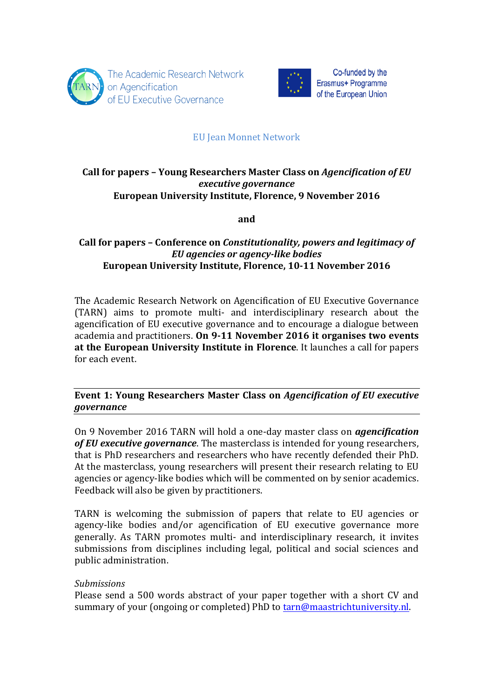



# EU Jean Monnet Network

## **Call for papers – Young Researchers Master Class on** *Agencification of EU executive governance* **European University Institute, Florence, 9 November 2016**

**and** 

# **Call for papers – Conference on** *Constitutionality, powers and legitimacy of EU agencies or agency-like bodies* European University Institute, Florence, 10-11 November 2016

The Academic Research Network on Agencification of EU Executive Governance (TARN) aims to promote multi- and interdisciplinary research about the agencification of EU executive governance and to encourage a dialogue between academia and practitioners. **On 9-11 November 2016 it organises two events** at the European University Institute in Florence. It launches a call for papers for each event.

# **Event 1: Young Researchers Master Class on** *Agencification of EU executive governance*

On 9 November 2016 TARN will hold a one-day master class on *agencification* of EU executive governance. The masterclass is intended for young researchers, that is PhD researchers and researchers who have recently defended their PhD. At the masterclass, young researchers will present their research relating to EU agencies or agency-like bodies which will be commented on by senior academics. Feedback will also be given by practitioners.

TARN is welcoming the submission of papers that relate to EU agencies or agency-like bodies and/or agencification of EU executive governance more generally. As TARN promotes multi- and interdisciplinary research, it invites submissions from disciplines including legal, political and social sciences and public administration.

## *Submissions*

Please send a 500 words abstract of your paper together with a short CV and summary of your (ongoing or completed) PhD to tarn@maastrichtuniversity.nl.